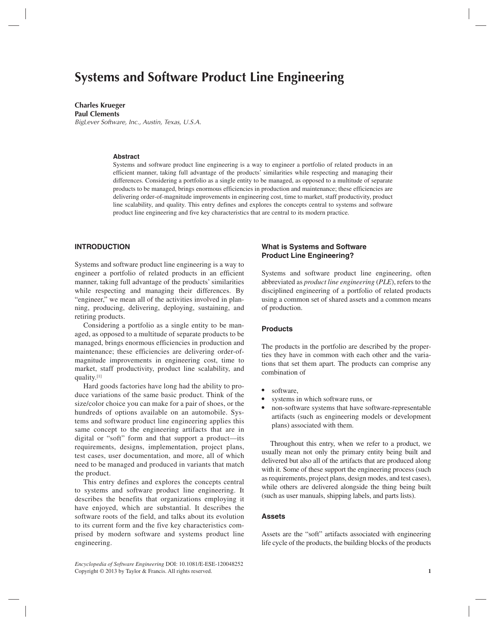## **Charles Krueger**

**Paul Clements** BigLever Software, Inc., Austin, Texas, U.S.A.

#### **Abstract**

Systems and software product line engineering is a way to engineer a portfolio of related products in an efficient manner, taking full advantage of the products' similarities while respecting and managing their differences. Considering a portfolio as a single entity to be managed, as opposed to a multitude of separate products to be managed, brings enormous efficiencies in production and maintenance; these efficiencies are delivering order-of-magnitude improvements in engineering cost, time to market, staff productivity, product line scalability, and quality. This entry defines and explores the concepts central to systems and software product line engineering and five key characteristics that are central to its modern practice.

# **INTRODUCTION**

Systems and software product line engineering is a way to engineer a portfolio of related products in an efficient manner, taking full advantage of the products' similarities while respecting and managing their differences. By "engineer," we mean all of the activities involved in planning, producing, delivering, deploying, sustaining, and retiring products.

Considering a portfolio as a single entity to be managed, as opposed to a multitude of separate products to be managed, brings enormous efficiencies in production and maintenance; these efficiencies are delivering order-ofmagnitude improvements in engineering cost, time to market, staff productivity, product line scalability, and quality.[1]

Hard goods factories have long had the ability to produce variations of the same basic product. Think of the size/color choice you can make for a pair of shoes, or the hundreds of options available on an automobile. Systems and software product line engineering applies this same concept to the engineering artifacts that are in digital or "soft" form and that support a product—its requirements, designs, implementation, project plans, test cases, user documentation, and more, all of which need to be managed and produced in variants that match the product.

This entry defines and explores the concepts central to systems and software product line engineering. It describes the benefits that organizations employing it have enjoyed, which are substantial. It describes the software roots of the field, and talks about its evolution to its current form and the five key characteristics comprised by modern software and systems product line engineering.

*Encyclopedia of Software Engineering* DOI: 10.1081/E-ESE-120048252 Copyright © 2013 by Taylor & Francis. All rights reserved. **1**

## **What is Systems and Software Product Line Engineering?**

Systems and software product line engineering, often abbreviated as *product line engineering* (*PLE*), refers to the disciplined engineering of a portfolio of related products using a common set of shared assets and a common means of production.

#### **Products**

The products in the portfolio are described by the properties they have in common with each other and the variations that set them apart. The products can comprise any combination of

- software.
- systems in which software runs, or
- non-software systems that have software-representable artifacts (such as engineering models or development plans) associated with them.

Throughout this entry, when we refer to a product, we usually mean not only the primary entity being built and delivered but also all of the artifacts that are produced along with it. Some of these support the engineering process (such as requirements, project plans, design modes, and test cases), while others are delivered alongside the thing being built (such as user manuals, shipping labels, and parts lists).

# **Assets**

Assets are the "soft" artifacts associated with engineering life cycle of the products, the building blocks of the products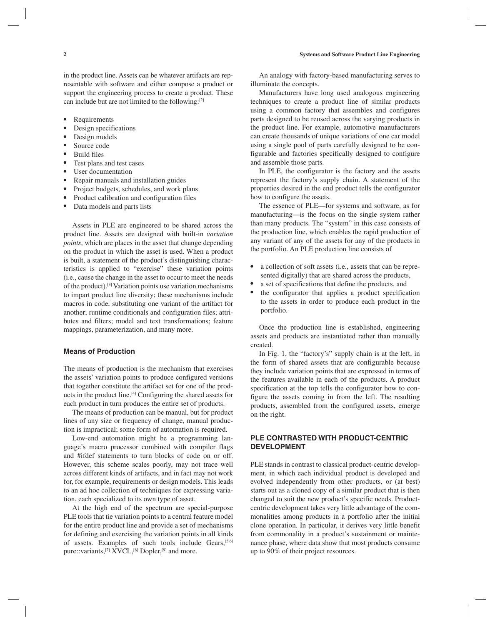in the product line. Assets can be whatever artifacts are representable with software and either compose a product or support the engineering process to create a product. These can include but are not limited to the following:[2]

- Requirements
- Design specifications
- Design models
- Source code
- Build files
- Test plans and test cases
- User documentation
- Repair manuals and installation guides
- Project budgets, schedules, and work plans
- Product calibration and configuration files
- Data models and parts lists

Assets in PLE are engineered to be shared across the product line. Assets are designed with built-in *variation points*, which are places in the asset that change depending on the product in which the asset is used. When a product is built, a statement of the product's distinguishing characteristics is applied to "exercise" these variation points (i.e., cause the change in the asset to occur to meet the needs of the product).[3] Variation points use variation mechanisms to impart product line diversity; these mechanisms include macros in code, substituting one variant of the artifact for another; runtime conditionals and configuration files; attributes and filters; model and text transformations; feature mappings, parameterization, and many more.

#### **Means of Production**

The means of production is the mechanism that exercises the assets' variation points to produce configured versions that together constitute the artifact set for one of the products in the product line.[4] Configuring the shared assets for each product in turn produces the entire set of products.

The means of production can be manual, but for product lines of any size or frequency of change, manual production is impractical; some form of automation is required.

Low-end automation might be a programming language's macro processor combined with compiler flags and #ifdef statements to turn blocks of code on or off. However, this scheme scales poorly, may not trace well across different kinds of artifacts, and in fact may not work for, for example, requirements or design models. This leads to an ad hoc collection of techniques for expressing variation, each specialized to its own type of asset.

At the high end of the spectrum are special-purpose PLE tools that tie variation points to a central feature model for the entire product line and provide a set of mechanisms for defining and exercising the variation points in all kinds of assets. Examples of such tools include Gears, [5,6] pure::variants,<sup>[7]</sup> XVCL,<sup>[8]</sup> Dopler,<sup>[9]</sup> and more.

An analogy with factory-based manufacturing serves to illuminate the concepts.

Manufacturers have long used analogous engineering techniques to create a product line of similar products using a common factory that assembles and configures parts designed to be reused across the varying products in the product line. For example, automotive manufacturers can create thousands of unique variations of one car model using a single pool of parts carefully designed to be configurable and factories specifically designed to configure and assemble those parts.

In PLE, the configurator is the factory and the assets represent the factory's supply chain. A statement of the properties desired in the end product tells the configurator how to configure the assets.

The essence of PLE—for systems and software, as for manufacturing—is the focus on the single system rather than many products. The "system" in this case consists of the production line, which enables the rapid production of any variant of any of the assets for any of the products in the portfolio. An PLE production line consists of

- a collection of soft assets (i.e., assets that can be represented digitally) that are shared across the products,
- a set of specifications that define the products, and
- the configurator that applies a product specification to the assets in order to produce each product in the portfolio.

Once the production line is established, engineering assets and products are instantiated rather than manually created.

In Fig. 1, the "factory's" supply chain is at the left, in the form of shared assets that are configurable because they include variation points that are expressed in terms of the features available in each of the products. A product specification at the top tells the configurator how to configure the assets coming in from the left. The resulting products, assembled from the configured assets, emerge on the right.

# **PLE CONTRASTED WITH PRODUCT-CENTRIC DEVELOPMENT**

PLE stands in contrast to classical product-centric development, in which each individual product is developed and evolved independently from other products, or (at best) starts out as a cloned copy of a similar product that is then changed to suit the new product's specific needs. Productcentric development takes very little advantage of the commonalities among products in a portfolio after the initial clone operation. In particular, it derives very little benefit from commonality in a product's sustainment or maintenance phase, where data show that most products consume up to 90% of their project resources.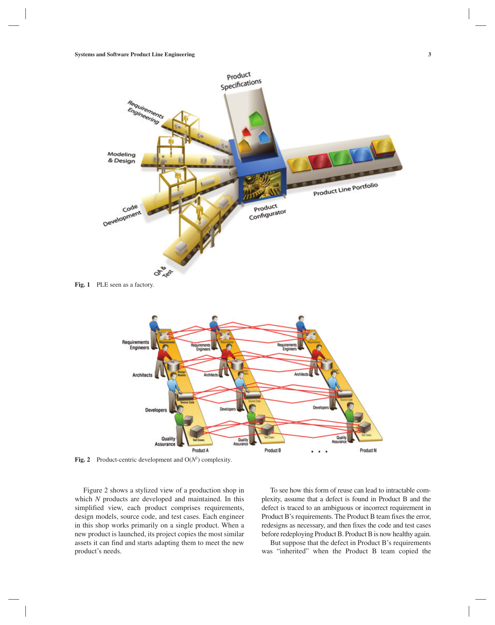

Qua

Product B

**Fig. 2** Product-centric development and O(*N*<sup>2</sup> ) complexity.

Developers

Quality

Product A

Assurance

Architects

Figure 2 shows a stylized view of a production shop in which *N* products are developed and maintained. In this simplified view, each product comprises requirements, design models, source code, and test cases. Each engineer in this shop works primarily on a single product. When a new product is launched, its project copies the most similar assets it can find and starts adapting them to meet the new product's needs.

To see how this form of reuse can lead to intractable complexity, assume that a defect is found in Product B and the defect is traced to an ambiguous or incorrect requirement in Product B's requirements. The Product B team fixes the error, redesigns as necessary, and then fixes the code and test cases before redeploying Product B. Product B is now healthy again.

Product N

ħ.

 $\cdot$ 

But suppose that the defect in Product B's requirements was "inherited" when the Product B team copied the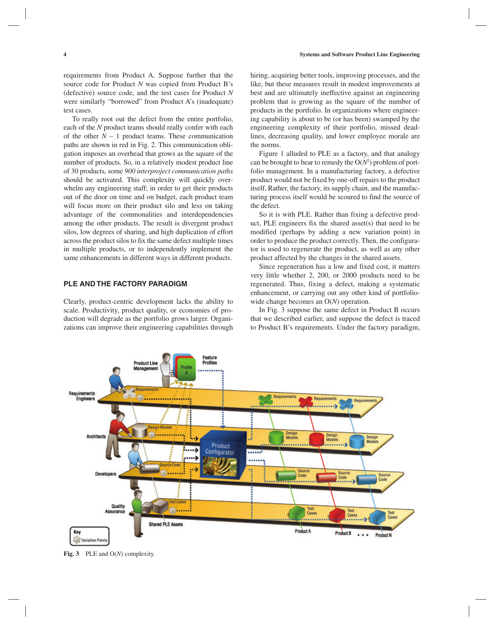requirements from Product A. Suppose further that the source code for Product *N* was copied from Product B's (defective) source code, and the test cases for Product *N* were similarly "borrowed" from Product A's (inadequate) test cases.

To really root out the defect from the entire portfolio, each of the *N* product teams should really confer with each of the other  $N - 1$  product teams. These communication paths are shown in red in Fig. 2. This communication obligation imposes an overhead that grows as the square of the number of products. So, in a relatively modest product line of 30 products, some *900 interproject communication paths* should be activated. This complexity will quickly overwhelm any engineering staff; in order to get their products out of the door on time and on budget, each product team will focus more on their product silo and less on taking advantage of the commonalities and interdependencies among the other products. The result is divergent product silos, low degrees of sharing, and high duplication of effort across the product silos to fix the same defect multiple times in multiple products, or to independently implement the same enhancements in different ways in different products.

# **PLE AND THE FACTORY PARADIGM**

Clearly, product-centric development lacks the ability to scale. Productivity, product quality, or economies of production will degrade as the portfolio grows larger. Organizations can improve their engineering capabilities through

hiring, acquiring better tools, improving processes, and the like, but these measures result in modest improvements at best and are ultimately ineffective against an engineering problem that is growing as the square of the number of products in the portfolio. In organizations where engineering capability is about to be (or has been) swamped by the engineering complexity of their portfolio, missed deadlines, decreasing quality, and lower employee morale are the norms.

Figure 1 alluded to PLE as a factory, and that analogy can be brought to bear to remedy the  $O(N^2)$  problem of portfolio management. In a manufacturing factory, a defective product would not be fixed by one-off repairs to the product itself. Rather, the factory, its supply chain, and the manufacturing process itself would be scoured to find the source of the defect.

So it is with PLE. Rather than fixing a defective product, PLE engineers fix the shared asset(s) that need to be modified (perhaps by adding a new variation point) in order to produce the product correctly. Then, the configurator is used to regenerate the product, as well as any other product affected by the changes in the shared assets.

Since regeneration has a low and fixed cost, it matters very little whether 2, 200, or 2000 products need to be regenerated. Thus, fixing a defect, making a systematic enhancement, or carrying out any other kind of portfoliowide change becomes an O(*N*) operation.

In Fig. 3 suppose the same defect in Product B occurs that we described earlier, and suppose the defect is traced to Product B's requirements. Under the factory paradigm,



**Fig. 3** PLE and O(*N*) complexity.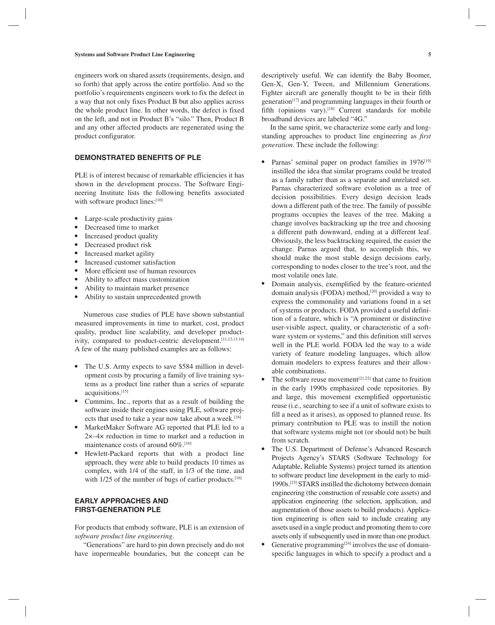engineers work on shared assets (requirements, design, and so forth) that apply across the entire portfolio. And so the portfolio's requirements engineers work to fix the defect in a way that not only fixes Product B but also applies across the whole product line. In other words, the defect is fixed on the left, and not in Product B's "silo." Then, Product B and any other affected products are regenerated using the product configurator.

# **DEMONSTRATED BENEFITS OF PLE**

PLE is of interest because of remarkable efficiencies it has shown in the development process. The Software Engineering Institute lists the following benefits associated with software product lines:[10]

- Large-scale productivity gains
- Decreased time to market
- Increased product quality
- Decreased product risk
- Increased market agility
- Increased customer satisfaction
- More efficient use of human resources
- Ability to affect mass customization
- Ability to maintain market presence
- Ability to sustain unprecedented growth

Numerous case studies of PLE have shown substantial measured improvements in time to market, cost, product quality, product line scalability, and developer productivity, compared to product-centric development.[11,12,13,14] A few of the many published examples are as follows:

- The U.S. Army expects to save \$584 million in development costs by procuring a family of live training systems as a product line rather than a series of separate acquisitions.[15]
- Cummins, Inc., reports that as a result of building the software inside their engines using PLE, software projects that used to take a year now take about a week.<sup>[16]</sup>
- MarketMaker Software AG reported that PLE led to a 2×–4× reduction in time to market and a reduction in maintenance costs of around 60%.[16]
- Hewlett-Packard reports that with a product line approach, they were able to build products 10 times as complex, with 1/4 of the staff, in 1/3 of the time, and with 1/25 of the number of bugs of earlier products.<sup>[16]</sup>

# **EARLY APPROACHES AND FIRST-GENERATION PLE**

For products that embody software, PLE is an extension of *software product line engineering*.

"Generations" are hard to pin down precisely and do not have impermeable boundaries, but the concept can be descriptively useful. We can identify the Baby Boomer, Gen-X, Gen-Y, Tween, and Millennium Generations. Fighter aircraft are generally thought to be in their fifth generation[17] and programming languages in their fourth or fifth (opinions vary).<sup>[18]</sup> Current standards for mobile broadband devices are labeled "4G."

In the same spirit, we characterize some early and longstanding approaches to product line engineering as *first generation*. These include the following:

- Parnas' seminal paper on product families in 1976<sup>[19]</sup> instilled the idea that similar programs could be treated as a family rather than as a separate and unrelated set. Parnas characterized software evolution as a tree of decision possibilities. Every design decision leads down a different path of the tree. The family of possible programs occupies the leaves of the tree. Making a change involves backtracking up the tree and choosing a different path downward, ending at a different leaf. Obviously, the less backtracking required, the easier the change. Parnas argued that, to accomplish this, we should make the most stable design decisions early, corresponding to nodes closer to the tree's root, and the most volatile ones late.
- Domain analysis, exemplified by the feature-oriented domain analysis (FODA) method,<sup>[20]</sup> provided a way to express the commonality and variations found in a set of systems or products. FODA provided a useful definition of a feature, which is "A prominent or distinctive user-visible aspect, quality, or characteristic of a software system or systems," and this definition still serves well in the PLE world. FODA led the way to a wide variety of feature modeling languages, which allow domain modelers to express features and their allowable combinations.
- The software reuse movement<sup>[21,22]</sup> that came to fruition in the early 1990s emphasized code repositories. By and large, this movement exemplified opportunistic reuse (i.e., searching to see if a unit of software exists to fill a need as it arises), as opposed to planned reuse. Its primary contribution to PLE was to instill the notion that software systems might not (or should not) be built from scratch.
- The U.S. Department of Defense's Advanced Research Projects Agency's STARS (Software Technology for Adaptable, Reliable Systems) project turned its attention to software product line development in the early to mid-1990s.[23] STARS instilled the dichotomy between domain engineering (the construction of reusable core assets) and application engineering (the selection, application, and augmentation of those assets to build products). Application engineering is often said to include creating any assets used in a single product and promoting them to core assets only if subsequently used in more than one product.
- Generative programming<sup>[24]</sup> involves the use of domainspecific languages in which to specify a product and a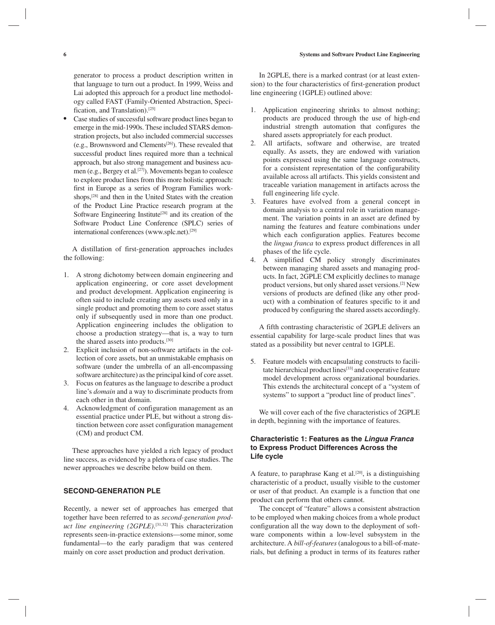generator to process a product description written in that language to turn out a product. In 1999, Weiss and Lai adopted this approach for a product line methodology called FAST (Family-Oriented Abstraction, Specification, and Translation).[25]

Case studies of successful software product lines began to emerge in the mid-1990s. These included STARS demonstration projects, but also included commercial successes (e.g., Brownsword and Clements[26]). These revealed that successful product lines required more than a technical approach, but also strong management and business acumen (e.g., Bergey et al.[27]). Movements began to coalesce to explore product lines from this more holistic approach: first in Europe as a series of Program Families workshops,<sup>[28]</sup> and then in the United States with the creation of the Product Line Practice research program at the Software Engineering Institute<sup>[28]</sup> and its creation of the Software Product Line Conference (SPLC) series of international conferences (www.splc.net).[29]

A distillation of first-generation approaches includes the following:

- 1. A strong dichotomy between domain engineering and application engineering, or core asset development and product development. Application engineering is often said to include creating any assets used only in a single product and promoting them to core asset status only if subsequently used in more than one product. Application engineering includes the obligation to choose a production strategy—that is, a way to turn the shared assets into products.<sup>[30]</sup>
- 2. Explicit inclusion of non-software artifacts in the collection of core assets, but an unmistakable emphasis on software (under the umbrella of an all-encompassing software architecture) as the principal kind of core asset.
- 3. Focus on features as the language to describe a product line's *domain* and a way to discriminate products from each other in that domain.
- 4. Acknowledgment of configuration management as an essential practice under PLE, but without a strong distinction between core asset configuration management (CM) and product CM.

These approaches have yielded a rich legacy of product line success, as evidenced by a plethora of case studies. The newer approaches we describe below build on them.

## **SECOND-GENERATION PLE**

Recently, a newer set of approaches has emerged that together have been referred to as *second-generation product line engineering (2GPLE)*. [31,32] This characterization represents seen-in-practice extensions—some minor, some fundamental—to the early paradigm that was centered mainly on core asset production and product derivation.

In 2GPLE, there is a marked contrast (or at least extension) to the four characteristics of first-generation product line engineering (1GPLE) outlined above:

- 1. Application engineering shrinks to almost nothing; products are produced through the use of high-end industrial strength automation that configures the shared assets appropriately for each product.
- 2. All artifacts, software and otherwise, are treated equally. As assets, they are endowed with variation points expressed using the same language constructs, for a consistent representation of the configurability available across all artifacts. This yields consistent and traceable variation management in artifacts across the full engineering life cycle.
- 3. Features have evolved from a general concept in domain analysis to a central role in variation management. The variation points in an asset are defined by naming the features and feature combinations under which each configuration applies. Features become the *lingua franca* to express product differences in all phases of the life cycle.
- 4. A simplified CM policy strongly discriminates between managing shared assets and managing products. In fact, 2GPLE CM explicitly declines to manage product versions, but only shared asset versions.[2] New versions of products are defined (like any other product) with a combination of features specific to it and produced by configuring the shared assets accordingly.

A fifth contrasting characteristic of 2GPLE delivers an essential capability for large-scale product lines that was stated as a possibility but never central to 1GPLE.

5. Feature models with encapsulating constructs to facilitate hierarchical product lines<sup>[33]</sup> and cooperative feature model development across organizational boundaries. This extends the architectural concept of a "system of systems" to support a "product line of product lines".

We will cover each of the five characteristics of 2GPLE in depth, beginning with the importance of features.

# **Characteristic 1: Features as the** *Lingua Franca* **to Express Product Differences Across the Life cycle**

A feature, to paraphrase Kang et al. $[20]$ , is a distinguishing characteristic of a product, usually visible to the customer or user of that product. An example is a function that one product can perform that others cannot.

The concept of "feature" allows a consistent abstraction to be employed when making choices from a whole product configuration all the way down to the deployment of software components within a low-level subsystem in the architecture. A *bill-of-features* (analogous to a bill-of-materials, but defining a product in terms of its features rather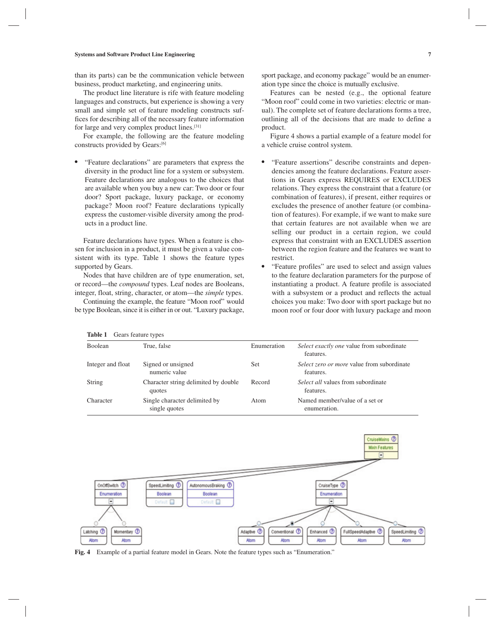than its parts) can be the communication vehicle between business, product marketing, and engineering units.

The product line literature is rife with feature modeling languages and constructs, but experience is showing a very small and simple set of feature modeling constructs suffices for describing all of the necessary feature information for large and very complex product lines.[31]

For example, the following are the feature modeling constructs provided by Gears:[6]

● "Feature declarations" are parameters that express the diversity in the product line for a system or subsystem. Feature declarations are analogous to the choices that are available when you buy a new car: Two door or four door? Sport package, luxury package, or economy package? Moon roof? Feature declarations typically express the customer-visible diversity among the products in a product line.

Feature declarations have types. When a feature is chosen for inclusion in a product, it must be given a value consistent with its type. Table 1 shows the feature types supported by Gears.

Nodes that have children are of type enumeration, set, or record—the *compound* types. Leaf nodes are Booleans, integer, float, string, character, or atom—the *simple* types.

Continuing the example, the feature "Moon roof" would be type Boolean, since it is either in or out. "Luxury package, sport package, and economy package" would be an enumeration type since the choice is mutually exclusive.

Features can be nested (e.g., the optional feature "Moon roof" could come in two varieties: electric or manual). The complete set of feature declarations forms a tree, outlining all of the decisions that are made to define a product.

Figure 4 shows a partial example of a feature model for a vehicle cruise control system.

- "Feature assertions" describe constraints and dependencies among the feature declarations. Feature assertions in Gears express REQUIRES or EXCLUDES relations. They express the constraint that a feature (or combination of features), if present, either requires or excludes the presence of another feature (or combination of features). For example, if we want to make sure that certain features are not available when we are selling our product in a certain region, we could express that constraint with an EXCLUDES assertion between the region feature and the features we want to restrict.
- "Feature profiles" are used to select and assign values to the feature declaration parameters for the purpose of instantiating a product. A feature profile is associated with a subsystem or a product and reflects the actual choices you make: Two door with sport package but no moon roof or four door with luxury package and moon

| Table 1<br>Gears feature types |                                                |             |                                                         |
|--------------------------------|------------------------------------------------|-------------|---------------------------------------------------------|
| <b>Boolean</b>                 | True, false                                    | Enumeration | Select exactly one value from subordinate<br>features.  |
| Integer and float              | Signed or unsigned<br>numeric value            | Set         | Select zero or more value from subordinate<br>features. |
| <b>String</b>                  | Character string delimited by double<br>quotes | Record      | <i>Select all</i> values from subordinate<br>features.  |
| Character                      | Single character delimited by<br>single quotes | Atom        | Named member/value of a set or<br>enumeration.          |



**Fig. 4** Example of a partial feature model in Gears. Note the feature types such as "Enumeration."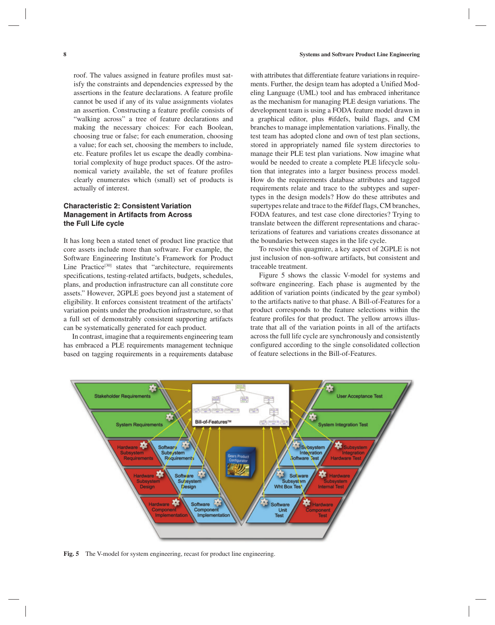roof. The values assigned in feature profiles must satisfy the constraints and dependencies expressed by the assertions in the feature declarations. A feature profile cannot be used if any of its value assignments violates an assertion. Constructing a feature profile consists of "walking across" a tree of feature declarations and making the necessary choices: For each Boolean, choosing true or false; for each enumeration, choosing a value; for each set, choosing the members to include, etc. Feature profiles let us escape the deadly combinatorial complexity of huge product spaces. Of the astronomical variety available, the set of feature profiles clearly enumerates which (small) set of products is actually of interest.

# **Characteristic 2: Consistent Variation Management in Artifacts from Across the Full Life cycle**

It has long been a stated tenet of product line practice that core assets include more than software. For example, the Software Engineering Institute's Framework for Product Line Practice<sup>[30]</sup> states that "architecture, requirements specifications, testing-related artifacts, budgets, schedules, plans, and production infrastructure can all constitute core assets." However, 2GPLE goes beyond just a statement of eligibility. It enforces consistent treatment of the artifacts' variation points under the production infrastructure, so that a full set of demonstrably consistent supporting artifacts can be systematically generated for each product.

In contrast, imagine that a requirements engineering team has embraced a PLE requirements management technique based on tagging requirements in a requirements database

with attributes that differentiate feature variations in requirements. Further, the design team has adopted a Unified Modeling Language (UML) tool and has embraced inheritance as the mechanism for managing PLE design variations. The development team is using a FODA feature model drawn in a graphical editor, plus #ifdefs, build flags, and CM branches to manage implementation variations. Finally, the test team has adopted clone and own of test plan sections, stored in appropriately named file system directories to manage their PLE test plan variations. Now imagine what would be needed to create a complete PLE lifecycle solution that integrates into a larger business process model. How do the requirements database attributes and tagged requirements relate and trace to the subtypes and supertypes in the design models? How do these attributes and supertypes relate and trace to the #ifdef flags, CM branches, FODA features, and test case clone directories? Trying to translate between the different representations and characterizations of features and variations creates dissonance at the boundaries between stages in the life cycle.

To resolve this quagmire, a key aspect of 2GPLE is not just inclusion of non-software artifacts, but consistent and traceable treatment.

Figure 5 shows the classic V-model for systems and software engineering. Each phase is augmented by the addition of variation points (indicated by the gear symbol) to the artifacts native to that phase. A Bill-of-Features for a product corresponds to the feature selections within the feature profiles for that product. The yellow arrows illustrate that all of the variation points in all of the artifacts across the full life cycle are synchronously and consistently configured according to the single consolidated collection of feature selections in the Bill-of-Features.



**Fig. 5** The V-model for system engineering, recast for product line engineering.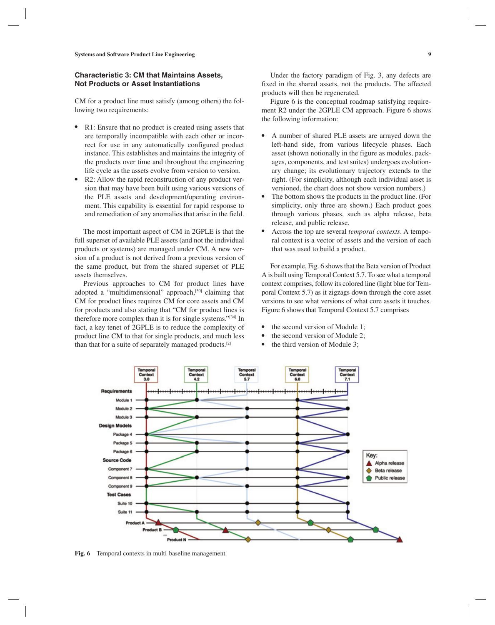## **Characteristic 3: CM that Maintains Assets, Not Products or Asset Instantiations**

CM for a product line must satisfy (among others) the following two requirements:

- R1: Ensure that no product is created using assets that are temporally incompatible with each other or incorrect for use in any automatically configured product instance. This establishes and maintains the integrity of the products over time and throughout the engineering life cycle as the assets evolve from version to version.
- R2: Allow the rapid reconstruction of any product version that may have been built using various versions of the PLE assets and development/operating environment. This capability is essential for rapid response to and remediation of any anomalies that arise in the field.

The most important aspect of CM in 2GPLE is that the full superset of available PLE assets (and not the individual products or systems) are managed under CM. A new version of a product is not derived from a previous version of the same product, but from the shared superset of PLE assets themselves.

Previous approaches to CM for product lines have adopted a "multidimensional" approach,<sup>[30]</sup> claiming that CM for product lines requires CM for core assets and CM for products and also stating that "CM for product lines is therefore more complex than it is for single systems."[34] In fact, a key tenet of 2GPLE is to reduce the complexity of product line CM to that for single products, and much less than that for a suite of separately managed products.[2]

Under the factory paradigm of Fig. 3, any defects are fixed in the shared assets, not the products. The affected products will then be regenerated.

Figure 6 is the conceptual roadmap satisfying requirement R2 under the 2GPLE CM approach. Figure 6 shows the following information:

- A number of shared PLE assets are arrayed down the left-hand side, from various lifecycle phases. Each asset (shown notionally in the figure as modules, packages, components, and test suites) undergoes evolutionary change; its evolutionary trajectory extends to the right. (For simplicity, although each individual asset is versioned, the chart does not show version numbers.)
- The bottom shows the products in the product line. (For simplicity, only three are shown.) Each product goes through various phases, such as alpha release, beta release, and public release.
- Across the top are several *temporal contexts*. A temporal context is a vector of assets and the version of each that was used to build a product.

For example, Fig. 6 shows that the Beta version of Product A is built using Temporal Context 5.7. To see what a temporal context comprises, follow its colored line (light blue for Temporal Context 5.7) as it zigzags down through the core asset versions to see what versions of what core assets it touches. Figure 6 shows that Temporal Context 5.7 comprises

- the second version of Module 1;
- the second version of Module 2:
- the third version of Module 3;



**Fig. 6** Temporal contexts in multi-baseline management.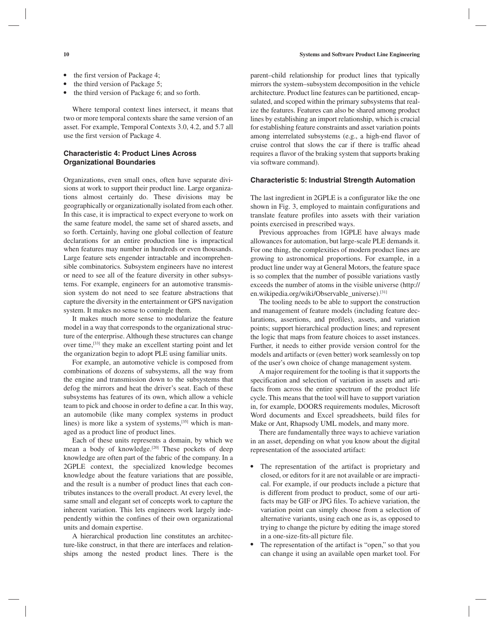- 
- the first version of Package 4;
- the third version of Package 5;
- the third version of Package 6; and so forth.

Where temporal context lines intersect, it means that two or more temporal contexts share the same version of an asset. For example, Temporal Contexts 3.0, 4.2, and 5.7 all use the first version of Package 4.

# **Characteristic 4: Product Lines Across Organizational Boundaries**

Organizations, even small ones, often have separate divisions at work to support their product line. Large organizations almost certainly do. These divisions may be geographically or organizationally isolated from each other. In this case, it is impractical to expect everyone to work on the same feature model, the same set of shared assets, and so forth. Certainly, having one global collection of feature declarations for an entire production line is impractical when features may number in hundreds or even thousands. Large feature sets engender intractable and incomprehensible combinatorics. Subsystem engineers have no interest or need to see all of the feature diversity in other subsystems. For example, engineers for an automotive transmission system do not need to see feature abstractions that capture the diversity in the entertainment or GPS navigation system. It makes no sense to comingle them.

It makes much more sense to modularize the feature model in a way that corresponds to the organizational structure of the enterprise. Although these structures can change over time,[33] they make an excellent starting point and let the organization begin to adopt PLE using familiar units.

For example, an automotive vehicle is composed from combinations of dozens of subsystems, all the way from the engine and transmission down to the subsystems that defog the mirrors and heat the driver's seat. Each of these subsystems has features of its own, which allow a vehicle team to pick and choose in order to define a car. In this way, an automobile (like many complex systems in product lines) is more like a system of systems,[35] which is managed as a product line of product lines.

Each of these units represents a domain, by which we mean a body of knowledge.<sup>[20]</sup> These pockets of deep knowledge are often part of the fabric of the company. In a 2GPLE context, the specialized knowledge becomes knowledge about the feature variations that are possible, and the result is a number of product lines that each contributes instances to the overall product. At every level, the same small and elegant set of concepts work to capture the inherent variation. This lets engineers work largely independently within the confines of their own organizational units and domain expertise.

A hierarchical production line constitutes an architecture-like construct, in that there are interfaces and relationships among the nested product lines. There is the parent–child relationship for product lines that typically mirrors the system–subsystem decomposition in the vehicle architecture. Product line features can be partitioned, encapsulated, and scoped within the primary subsystems that realize the features. Features can also be shared among product lines by establishing an import relationship, which is crucial for establishing feature constraints and asset variation points among interrelated subsystems (e.g., a high-end flavor of cruise control that slows the car if there is traffic ahead requires a flavor of the braking system that supports braking via software command).

#### **Characteristic 5: Industrial Strength Automation**

The last ingredient in 2GPLE is a configurator like the one shown in Fig. 3, employed to maintain configurations and translate feature profiles into assets with their variation points exercised in prescribed ways.

Previous approaches from 1GPLE have always made allowances for automation, but large-scale PLE demands it. For one thing, the complexities of modern product lines are growing to astronomical proportions. For example, in a product line under way at General Motors, the feature space is so complex that the number of possible variations vastly exceeds the number of atoms in the visible universe (http:// en.wikipedia.org/wiki/Observable\_universe).[31]

The tooling needs to be able to support the construction and management of feature models (including feature declarations, assertions, and profiles), assets, and variation points; support hierarchical production lines; and represent the logic that maps from feature choices to asset instances. Further, it needs to either provide version control for the models and artifacts or (even better) work seamlessly on top of the user's own choice of change management system.

A major requirement for the tooling is that it supports the specification and selection of variation in assets and artifacts from across the entire spectrum of the product life cycle. This means that the tool will have to support variation in, for example, DOORS requirements modules, Microsoft Word documents and Excel spreadsheets, build files for Make or Ant, Rhapsody UML models, and many more.

There are fundamentally three ways to achieve variation in an asset, depending on what you know about the digital representation of the associated artifact:

- The representation of the artifact is proprietary and closed, or editors for it are not available or are impractical. For example, if our products include a picture that is different from product to product, some of our artifacts may be GIF or JPG files. To achieve variation, the variation point can simply choose from a selection of alternative variants, using each one as is, as opposed to trying to change the picture by editing the image stored in a one-size-fits-all picture file.
- The representation of the artifact is "open," so that you can change it using an available open market tool. For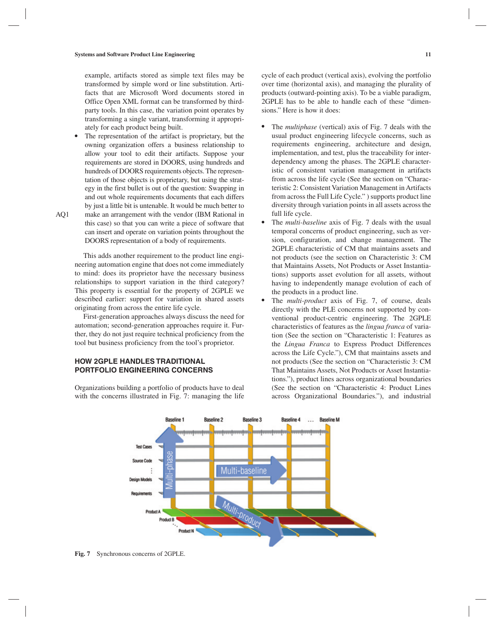example, artifacts stored as simple text files may be transformed by simple word or line substitution. Artifacts that are Microsoft Word documents stored in Office Open XML format can be transformed by thirdparty tools. In this case, the variation point operates by transforming a single variant, transforming it appropriately for each product being built.

The representation of the artifact is proprietary, but the owning organization offers a business relationship to allow your tool to edit their artifacts. Suppose your requirements are stored in DOORS, using hundreds and hundreds of DOORS requirements objects. The representation of those objects is proprietary, but using the strategy in the first bullet is out of the question: Swapping in and out whole requirements documents that each differs by just a little bit is untenable. It would be much better to make an arrangement with the vendor (IBM Rational in this case) so that you can write a piece of software that can insert and operate on variation points throughout the DOORS representation of a body of requirements.

This adds another requirement to the product line engineering automation engine that does not come immediately to mind: does its proprietor have the necessary business relationships to support variation in the third category? This property is essential for the property of 2GPLE we described earlier: support for variation in shared assets originating from across the entire life cycle.

First-generation approaches always discuss the need for automation; second-generation approaches require it. Further, they do not just require technical proficiency from the tool but business proficiency from the tool's proprietor.

# **HOW 2GPLE HANDLES TRADITIONAL PORTFOLIO ENGINEERING CONCERNS**

Organizations building a portfolio of products have to deal with the concerns illustrated in Fig. 7: managing the life

cycle of each product (vertical axis), evolving the portfolio over time (horizontal axis), and managing the plurality of products (outward-pointing axis). To be a viable paradigm, 2GPLE has to be able to handle each of these "dimensions." Here is how it does:

- The *multiphase* (vertical) axis of Fig. 7 deals with the usual product engineering lifecycle concerns, such as requirements engineering, architecture and design, implementation, and test, plus the traceability for interdependency among the phases. The 2GPLE characteristic of consistent variation management in artifacts from across the life cycle (See the section on "Characteristic 2: Consistent Variation Management in Artifacts from across the Full Life Cycle." ) supports product line diversity through variation points in all assets across the full life cycle.
- The *multi-baseline* axis of Fig. 7 deals with the usual temporal concerns of product engineering, such as version, configuration, and change management. The 2GPLE characteristic of CM that maintains assets and not products (see the section on Characteristic 3: CM that Maintains Assets, Not Products or Asset Instantiations) supports asset evolution for all assets, without having to independently manage evolution of each of the products in a product line.
- The *multi-product* axis of Fig. 7, of course, deals directly with the PLE concerns not supported by conventional product-centric engineering. The 2GPLE characteristics of features as the *lingua franca* of variation (See the section on "Characteristic 1: Features as the *Lingua Franca* to Express Product Differences across the Life Cycle."), CM that maintains assets and not products (See the section on "Characteristic 3: CM That Maintains Assets, Not Products or Asset Instantiations."), product lines across organizational boundaries (See the section on "Characteristic 4: Product Lines across Organizational Boundaries."), and industrial



AQ1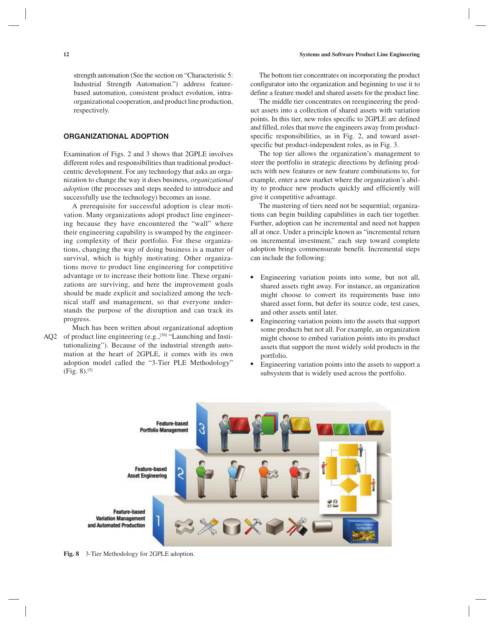strength automation (See the section on "Characteristic 5: Industrial Strength Automation.") address featurebased automation, consistent product evolution, intraorganizational cooperation, and product line production, respectively.

# **ORGANIZATIONAL ADOPTION**

Examination of Figs. 2 and 3 shows that 2GPLE involves different roles and responsibilities than traditional productcentric development. For any technology that asks an organization to change the way it does business, *organizational adoption* (the processes and steps needed to introduce and successfully use the technology) becomes an issue.

A prerequisite for successful adoption is clear motivation. Many organizations adopt product line engineering because they have encountered the "wall" where their engineering capability is swamped by the engineering complexity of their portfolio. For these organizations, changing the way of doing business is a matter of survival, which is highly motivating. Other organizations move to product line engineering for competitive advantage or to increase their bottom line. These organizations are surviving, and here the improvement goals should be made explicit and socialized among the technical staff and management, so that everyone understands the purpose of the disruption and can track its progress.

Much has been written about organizational adoption  $AQ2$  of product line engineering (e.g.,<sup>[30]</sup> "Launching and Institutionalizing"). Because of the industrial strength automation at the heart of 2GPLE, it comes with its own adoption model called the "3-Tier PLE Methodology" (Fig. 8).[5]

The bottom tier concentrates on incorporating the product configurator into the organization and beginning to use it to define a feature model and shared assets for the product line.

The middle tier concentrates on reengineering the product assets into a collection of shared assets with variation points. In this tier, new roles specific to 2GPLE are defined and filled, roles that move the engineers away from productspecific responsibilities, as in Fig. 2, and toward assetspecific but product-independent roles, as in Fig. 3.

The top tier allows the organization's management to steer the portfolio in strategic directions by defining products with new features or new feature combinations to, for example, enter a new market where the organization's ability to produce new products quickly and efficiently will give it competitive advantage.

The mastering of tiers need not be sequential; organizations can begin building capabilities in each tier together. Further, adoption can be incremental and need not happen all at once. Under a principle known as "incremental return on incremental investment," each step toward complete adoption brings commensurate benefit. Incremental steps can include the following:

- Engineering variation points into some, but not all, shared assets right away. For instance, an organization might choose to convert its requirements base into shared asset form, but defer its source code, test cases, and other assets until later.
- Engineering variation points into the assets that support some products but not all. For example, an organization might choose to embed variation points into its product assets that support the most widely sold products in the portfolio.
- Engineering variation points into the assets to support a subsystem that is widely used across the portfolio.



**Fig. 8** 3-Tier Methodology for 2GPLE adoption.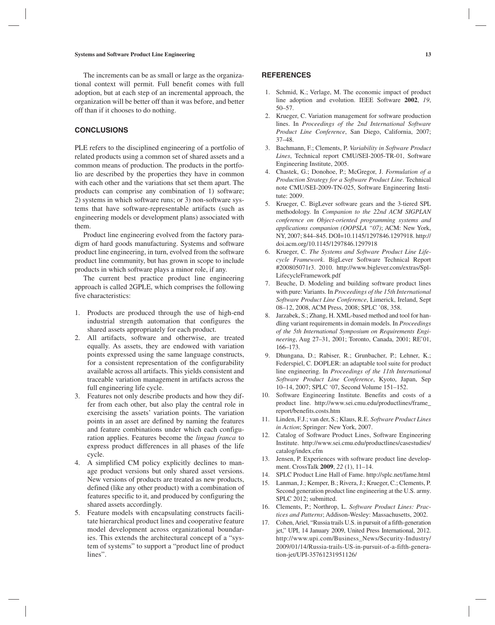The increments can be as small or large as the organizational context will permit. Full benefit comes with full adoption, but at each step of an incremental approach, the organization will be better off than it was before, and better off than if it chooses to do nothing.

## **CONCLUSIONS**

PLE refers to the disciplined engineering of a portfolio of related products using a common set of shared assets and a common means of production. The products in the portfolio are described by the properties they have in common with each other and the variations that set them apart. The products can comprise any combination of 1) software; 2) systems in which software runs; or 3) non-software systems that have software-representable artifacts (such as engineering models or development plans) associated with them.

Product line engineering evolved from the factory paradigm of hard goods manufacturing. Systems and software product line engineering, in turn, evolved from the software product line community, but has grown in scope to include products in which software plays a minor role, if any.

The current best practice product line engineering approach is called 2GPLE, which comprises the following five characteristics:

- 1. Products are produced through the use of high-end industrial strength automation that configures the shared assets appropriately for each product.
- 2. All artifacts, software and otherwise, are treated equally. As assets, they are endowed with variation points expressed using the same language constructs, for a consistent representation of the configurability available across all artifacts. This yields consistent and traceable variation management in artifacts across the full engineering life cycle.
- 3. Features not only describe products and how they differ from each other, but also play the central role in exercising the assets' variation points. The variation points in an asset are defined by naming the features and feature combinations under which each configuration applies. Features become the *lingua franca* to express product differences in all phases of the life cycle.
- 4. A simplified CM policy explicitly declines to manage product versions but only shared asset versions. New versions of products are treated as new products, defined (like any other product) with a combination of features specific to it, and produced by configuring the shared assets accordingly.
- 5. Feature models with encapsulating constructs facilitate hierarchical product lines and cooperative feature model development across organizational boundaries. This extends the architectural concept of a "system of systems" to support a "product line of product lines".

#### **REFERENCES**

- 1. Schmid, K.; Verlage, M. The economic impact of product line adoption and evolution. IEEE Software **2002**, *19*, 50–57.
- 2. Krueger, C. Variation management for software production lines. In *Proceedings of the 2nd International Software Product Line Conference*, San Diego, California, 2007; 37–48.
- 3. Bachmann, F.; Clements, P. *Variability in Software Product Lines*, Technical report CMU/SEI-2005-TR-01, Software Engineering Institute, 2005.
- 4. Chastek, G.; Donohoe, P.; McGregor, J. *Formulation of a Production Strategy for a Software Product Line*. Technical note CMU/SEI-2009-TN-025, Software Engineering Institute: 2009.
- 5. Krueger, C. BigLever software gears and the 3-tiered SPL methodology. In *Companion to the 22nd ACM SIGPLAN conference on Object-oriented programming systems and applications companion (OOPSLA "07)*; ACM: New York, NY, 2007; 844–845. DOI=10.1145/1297846.1297918. http:// doi.acm.org/10.1145/1297846.1297918
- 6. Krueger, C. *The Systems and Software Product Line Lifecycle Framework*. BigLever Software Technical Report #200805071r3. 2010. http://www.biglever.com/extras/Spl-LifecycleFramework.pdf
- 7. Beuche, D. Modeling and building software product lines with pure: Variants. In *Proceedings of the 15th International Software Product Line Conference*, Limerick, Ireland, Sept 08–12, 2008, ACM Press, 2008; SPLC '08, 358.
- 8. Jarzabek, S.; Zhang, H. XML-based method and tool for handling variant requirements in domain models. In *Proceedings of the 5th International Symposium on Requirements Engineering*, Aug 27–31, 2001; Toronto, Canada, 2001; RE'01, 166–173.
- 9. Dhungana, D.; Rabiser, R.; Grunbacher, P.; Lehner, K.; Federspiel, C. DOPLER: an adaptable tool suite for product line engineering. In *Proceedings of the 11th International Software Product Line Conference*, Kyoto, Japan, Sep 10–14, 2007; SPLC '07, Second Volume 151–152.
- 10. Software Engineering Institute. Benefits and costs of a product line. http://www.sei.cmu.edu/productlines/frame\_ report/benefits.costs.htm
- 11. Linden, F.J.; van der, S.; Klaus, R.E. *Software Product Lines in Action*; Springer: New York, 2007.
- 12. Catalog of Software Product Lines, Software Engineering Institute. http://www.sei.cmu.edu/productlines/casestudies/ catalog/index.cfm
- 13. Jensen, P. Experiences with software product line development. CrossTalk **2009**, *22* (1), 11–14.
- 14. SPLC Product Line Hall of Fame. http://splc.net/fame.html
- 15. Lanman, J.; Kemper, B.; Rivera, J.; Krueger, C.; Clements, P. Second generation product line engineering at the U.S. army. SPLC 2012; submitted.
- 16. Clements, P.; Northrop, L. *Software Product Lines: Practices and Patterns*; Addison-Wesley: Massachusetts, 2002.
- 17. Cohen, Ariel, "Russia trails U.S. in pursuit of a fifth-generation jet," UPI, 14 January 2009, United Press International, 2012. http://www.upi.com/Business\_News/Security-Industry/ 2009/01/14/Russia-trails-US-in-pursuit-of-a-fifth-generation-jet/UPI-35761231951126/